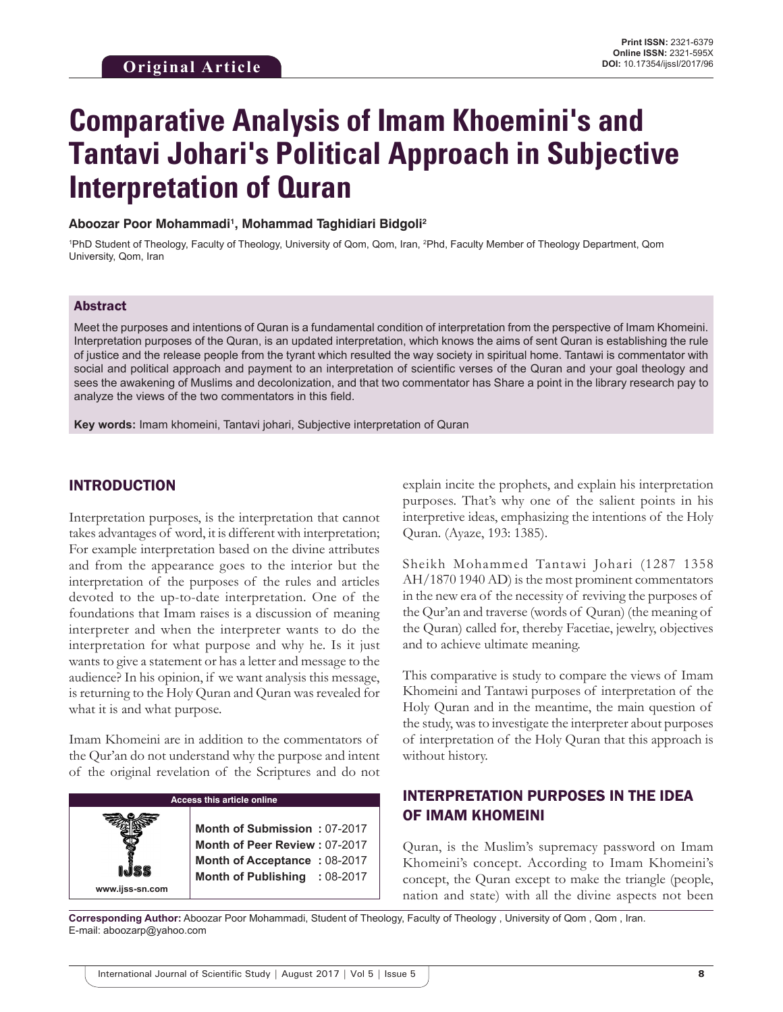# **Comparative Analysis of Imam Khoemini's and Tantavi Johari's Political Approach in Subjective Interpretation of Quran**

#### **Aboozar Poor Mohammadi1 , Mohammad Taghidiari Bidgoli2**

<sup>1</sup>PhD Student of Theology, Faculty of Theology, University of Qom, Qom, Iran, <sup>2</sup>Phd, Faculty Member of Theology Department, Qom University, Qom, Iran

#### Abstract

Meet the purposes and intentions of Quran is a fundamental condition of interpretation from the perspective of Imam Khomeini. Interpretation purposes of the Quran, is an updated interpretation, which knows the aims of sent Quran is establishing the rule of justice and the release people from the tyrant which resulted the way society in spiritual home. Tantawi is commentator with social and political approach and payment to an interpretation of scientific verses of the Quran and your goal theology and sees the awakening of Muslims and decolonization, and that two commentator has Share a point in the library research pay to analyze the views of the two commentators in this field.

**Key words:** Imam khomeini, Tantavi johari, Subjective interpretation of Quran

#### INTRODUCTION

Interpretation purposes, is the interpretation that cannot takes advantages of word, it is different with interpretation; For example interpretation based on the divine attributes and from the appearance goes to the interior but the interpretation of the purposes of the rules and articles devoted to the up-to-date interpretation. One of the foundations that Imam raises is a discussion of meaning interpreter and when the interpreter wants to do the interpretation for what purpose and why he. Is it just wants to give a statement or has a letter and message to the audience? In his opinion, if we want analysis this message, is returning to the Holy Quran and Quran was revealed for what it is and what purpose.

Imam Khomeini are in addition to the commentators of the Qur'an do not understand why the purpose and intent of the original revelation of the Scriptures and do not

explain incite the prophets, and explain his interpretation purposes. That's why one of the salient points in his interpretive ideas, emphasizing the intentions of the Holy Quran. (Ayaze, 193: 1385).

Sheikh Mohammed Tantawi Johari (1287 1358 AH/1870 1940 AD) is the most prominent commentators in the new era of the necessity of reviving the purposes of the Qur'an and traverse (words of Quran) (the meaning of the Quran) called for, thereby Facetiae, jewelry, objectives and to achieve ultimate meaning.

This comparative is study to compare the views of Imam Khomeini and Tantawi purposes of interpretation of the Holy Quran and in the meantime, the main question of the study, was to investigate the interpreter about purposes of interpretation of the Holy Quran that this approach is without history.

## INTERPRETATION PURPOSES IN THE IDEA OF IMAM KHOMEINI

Quran, is the Muslim's supremacy password on Imam Khomeini's concept. According to Imam Khomeini's concept, the Quran except to make the triangle (people, nation and state) with all the divine aspects not been

**Corresponding Author:** Aboozar Poor Mohammadi, Student of Theology, Faculty of Theology , University of Qom , Qom , Iran. E-mail: aboozarp@yahoo.com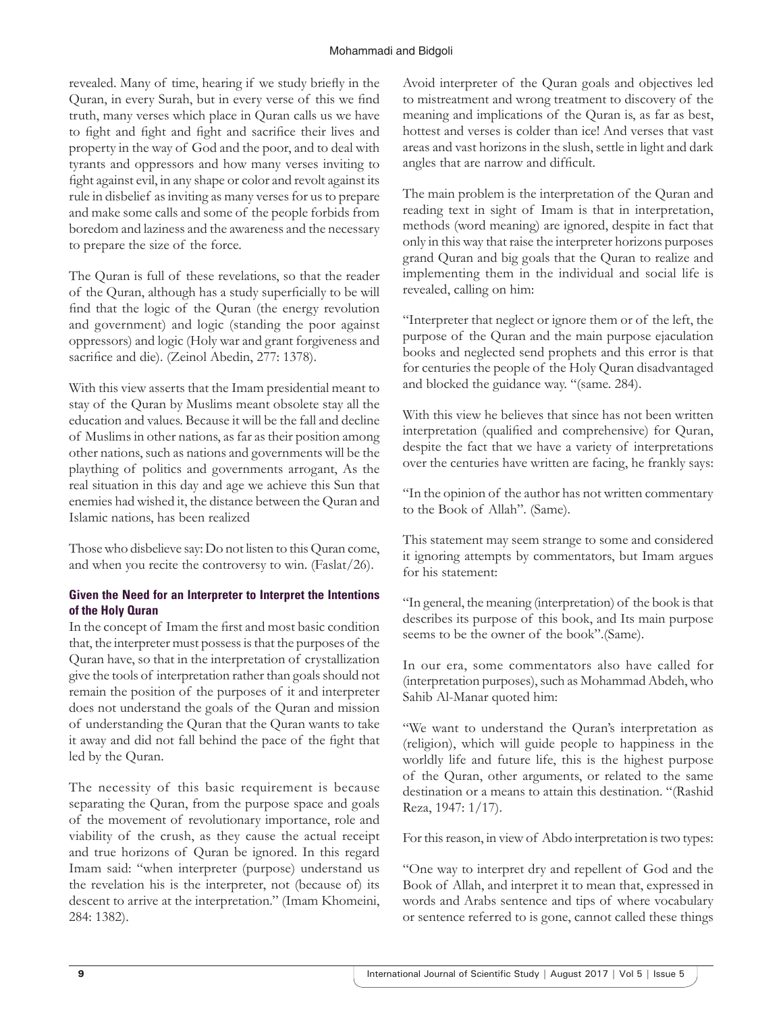#### Mohammadi and Bidgoli

revealed. Many of time, hearing if we study briefly in the Quran, in every Surah, but in every verse of this we find truth, many verses which place in Quran calls us we have to fight and fight and fight and sacrifice their lives and property in the way of God and the poor, and to deal with tyrants and oppressors and how many verses inviting to fight against evil, in any shape or color and revolt against its rule in disbelief as inviting as many verses for us to prepare and make some calls and some of the people forbids from boredom and laziness and the awareness and the necessary to prepare the size of the force.

The Quran is full of these revelations, so that the reader of the Quran, although has a study superficially to be will find that the logic of the Quran (the energy revolution and government) and logic (standing the poor against oppressors) and logic (Holy war and grant forgiveness and sacrifice and die). (Zeinol Abedin, 277: 1378).

With this view asserts that the Imam presidential meant to stay of the Quran by Muslims meant obsolete stay all the education and values. Because it will be the fall and decline of Muslims in other nations, as far as their position among other nations, such as nations and governments will be the plaything of politics and governments arrogant, As the real situation in this day and age we achieve this Sun that enemies had wished it, the distance between the Quran and Islamic nations, has been realized

Those who disbelieve say: Do not listen to this Quran come, and when you recite the controversy to win. (Faslat/26).

#### **Given the Need for an Interpreter to Interpret the Intentions of the Holy Quran**

In the concept of Imam the first and most basic condition that, the interpreter must possess is that the purposes of the Quran have, so that in the interpretation of crystallization give the tools of interpretation rather than goals should not remain the position of the purposes of it and interpreter does not understand the goals of the Quran and mission of understanding the Quran that the Quran wants to take it away and did not fall behind the pace of the fight that led by the Quran.

The necessity of this basic requirement is because separating the Quran, from the purpose space and goals of the movement of revolutionary importance, role and viability of the crush, as they cause the actual receipt and true horizons of Quran be ignored. In this regard Imam said: "when interpreter (purpose) understand us the revelation his is the interpreter, not (because of) its descent to arrive at the interpretation." (Imam Khomeini, 284: 1382).

Avoid interpreter of the Quran goals and objectives led to mistreatment and wrong treatment to discovery of the meaning and implications of the Quran is, as far as best, hottest and verses is colder than ice! And verses that vast areas and vast horizons in the slush, settle in light and dark angles that are narrow and difficult.

The main problem is the interpretation of the Quran and reading text in sight of Imam is that in interpretation, methods (word meaning) are ignored, despite in fact that only in this way that raise the interpreter horizons purposes grand Quran and big goals that the Quran to realize and implementing them in the individual and social life is revealed, calling on him:

"Interpreter that neglect or ignore them or of the left, the purpose of the Quran and the main purpose ejaculation books and neglected send prophets and this error is that for centuries the people of the Holy Quran disadvantaged and blocked the guidance way. "(same. 284).

With this view he believes that since has not been written interpretation (qualified and comprehensive) for Quran, despite the fact that we have a variety of interpretations over the centuries have written are facing, he frankly says:

"In the opinion of the author has not written commentary to the Book of Allah". (Same).

This statement may seem strange to some and considered it ignoring attempts by commentators, but Imam argues for his statement:

"In general, the meaning (interpretation) of the book is that describes its purpose of this book, and Its main purpose seems to be the owner of the book".(Same).

In our era, some commentators also have called for (interpretation purposes), such as Mohammad Abdeh, who Sahib Al-Manar quoted him:

"We want to understand the Quran's interpretation as (religion), which will guide people to happiness in the worldly life and future life, this is the highest purpose of the Quran, other arguments, or related to the same destination or a means to attain this destination. "(Rashid Reza, 1947: 1/17).

For this reason, in view of Abdo interpretation is two types:

"One way to interpret dry and repellent of God and the Book of Allah, and interpret it to mean that, expressed in words and Arabs sentence and tips of where vocabulary or sentence referred to is gone, cannot called these things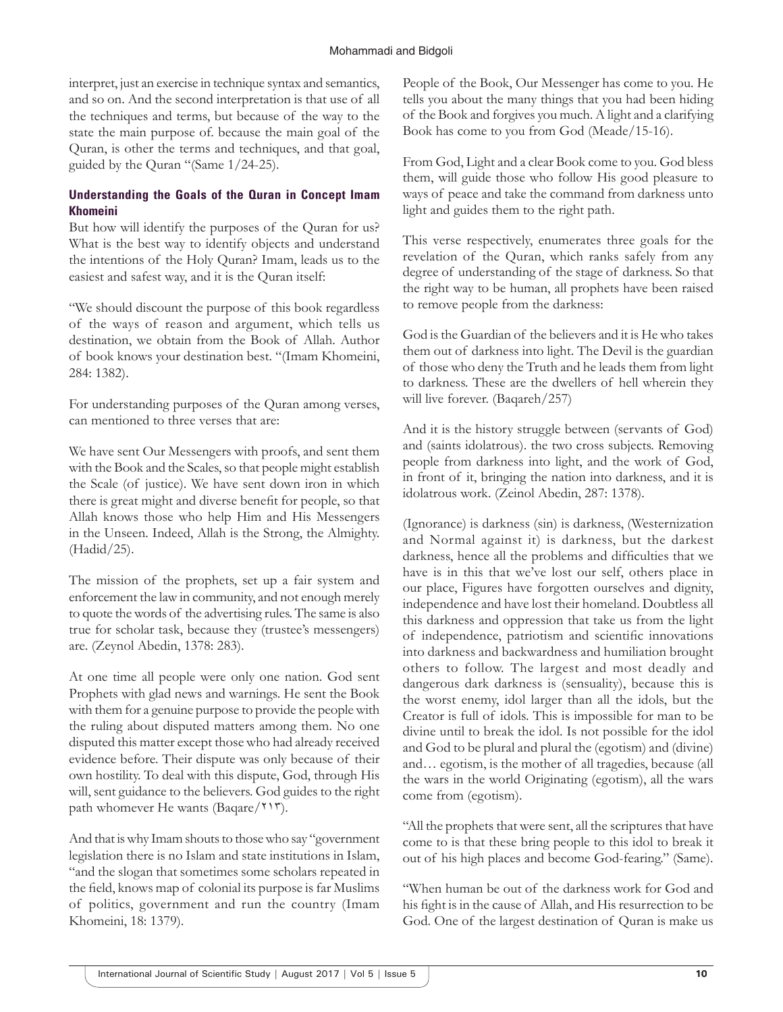interpret, just an exercise in technique syntax and semantics, and so on. And the second interpretation is that use of all the techniques and terms, but because of the way to the state the main purpose of. because the main goal of the Quran, is other the terms and techniques, and that goal, guided by the Quran "(Same 1/24-25).

#### **Understanding the Goals of the Quran in Concept Imam Khomeini**

But how will identify the purposes of the Quran for us? What is the best way to identify objects and understand the intentions of the Holy Quran? Imam, leads us to the easiest and safest way, and it is the Quran itself:

"We should discount the purpose of this book regardless of the ways of reason and argument, which tells us destination, we obtain from the Book of Allah. Author of book knows your destination best. "(Imam Khomeini, 284: 1382).

For understanding purposes of the Quran among verses, can mentioned to three verses that are:

We have sent Our Messengers with proofs, and sent them with the Book and the Scales, so that people might establish the Scale (of justice). We have sent down iron in which there is great might and diverse benefit for people, so that Allah knows those who help Him and His Messengers in the Unseen. Indeed, Allah is the Strong, the Almighty. (Hadid/25).

The mission of the prophets, set up a fair system and enforcement the law in community, and not enough merely to quote the words of the advertising rules. The same is also true for scholar task, because they (trustee's messengers) are. (Zeynol Abedin, 1378: 283).

At one time all people were only one nation. God sent Prophets with glad news and warnings. He sent the Book with them for a genuine purpose to provide the people with the ruling about disputed matters among them. No one disputed this matter except those who had already received evidence before. Their dispute was only because of their own hostility. To deal with this dispute, God, through His will, sent guidance to the believers. God guides to the right path whomever He wants (Baqare/۲۱۳).

And that is why Imam shouts to those who say "government legislation there is no Islam and state institutions in Islam, "and the slogan that sometimes some scholars repeated in the field, knows map of colonial its purpose is far Muslims of politics, government and run the country (Imam Khomeini, 18: 1379).

People of the Book, Our Messenger has come to you. He tells you about the many things that you had been hiding of the Book and forgives you much. A light and a clarifying Book has come to you from God (Meade/15-16).

From God, Light and a clear Book come to you. God bless them, will guide those who follow His good pleasure to ways of peace and take the command from darkness unto light and guides them to the right path.

This verse respectively, enumerates three goals for the revelation of the Quran, which ranks safely from any degree of understanding of the stage of darkness. So that the right way to be human, all prophets have been raised to remove people from the darkness:

God is the Guardian of the believers and it is He who takes them out of darkness into light. The Devil is the guardian of those who deny the Truth and he leads them from light to darkness. These are the dwellers of hell wherein they will live forever. (Baqareh/257)

And it is the history struggle between (servants of God) and (saints idolatrous). the two cross subjects. Removing people from darkness into light, and the work of God, in front of it, bringing the nation into darkness, and it is idolatrous work. (Zeinol Abedin, 287: 1378).

(Ignorance) is darkness (sin) is darkness, (Westernization and Normal against it) is darkness, but the darkest darkness, hence all the problems and difficulties that we have is in this that we've lost our self, others place in our place, Figures have forgotten ourselves and dignity, independence and have lost their homeland. Doubtless all this darkness and oppression that take us from the light of independence, patriotism and scientific innovations into darkness and backwardness and humiliation brought others to follow. The largest and most deadly and dangerous dark darkness is (sensuality), because this is the worst enemy, idol larger than all the idols, but the Creator is full of idols. This is impossible for man to be divine until to break the idol. Is not possible for the idol and God to be plural and plural the (egotism) and (divine) and… egotism, is the mother of all tragedies, because (all the wars in the world Originating (egotism), all the wars come from (egotism).

"All the prophets that were sent, all the scriptures that have come to is that these bring people to this idol to break it out of his high places and become God-fearing." (Same).

"When human be out of the darkness work for God and his fight is in the cause of Allah, and His resurrection to be God. One of the largest destination of Quran is make us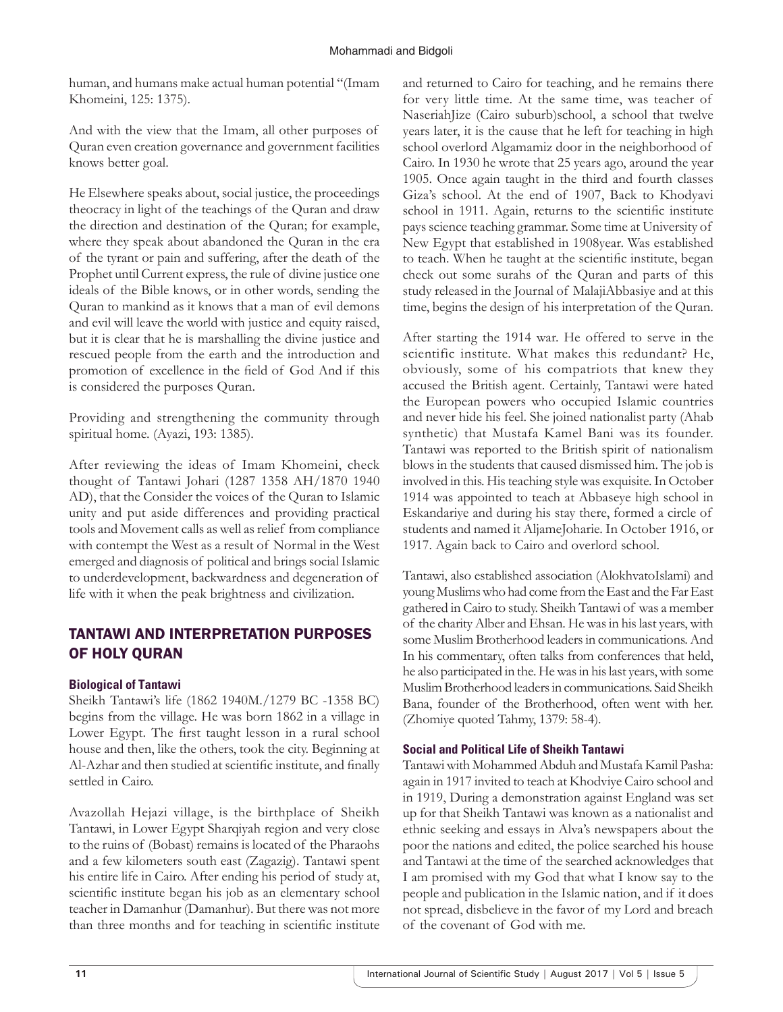human, and humans make actual human potential "(Imam Khomeini, 125: 1375).

And with the view that the Imam, all other purposes of Quran even creation governance and government facilities knows better goal.

He Elsewhere speaks about, social justice, the proceedings theocracy in light of the teachings of the Quran and draw the direction and destination of the Quran; for example, where they speak about abandoned the Quran in the era of the tyrant or pain and suffering, after the death of the Prophet until Current express, the rule of divine justice one ideals of the Bible knows, or in other words, sending the Quran to mankind as it knows that a man of evil demons and evil will leave the world with justice and equity raised, but it is clear that he is marshalling the divine justice and rescued people from the earth and the introduction and promotion of excellence in the field of God And if this is considered the purposes Quran.

Providing and strengthening the community through spiritual home. (Ayazi, 193: 1385).

After reviewing the ideas of Imam Khomeini, check thought of Tantawi Johari (1287 1358 AH/1870 1940 AD), that the Consider the voices of the Quran to Islamic unity and put aside differences and providing practical tools and Movement calls as well as relief from compliance with contempt the West as a result of Normal in the West emerged and diagnosis of political and brings social Islamic to underdevelopment, backwardness and degeneration of life with it when the peak brightness and civilization.

# TANTAWI AND INTERPRETATION PURPOSES OF HOLY QURAN

## **Biological of Tantawi**

Sheikh Tantawi's life (1862 1940M./1279 BC -1358 BC) begins from the village. He was born 1862 in a village in Lower Egypt. The first taught lesson in a rural school house and then, like the others, took the city. Beginning at Al-Azhar and then studied at scientific institute, and finally settled in Cairo.

Avazollah Hejazi village, is the birthplace of Sheikh Tantawi, in Lower Egypt Sharqiyah region and very close to the ruins of (Bobast) remains is located of the Pharaohs and a few kilometers south east (Zagazig). Tantawi spent his entire life in Cairo. After ending his period of study at, scientific institute began his job as an elementary school teacher in Damanhur (Damanhur). But there was not more than three months and for teaching in scientific institute and returned to Cairo for teaching, and he remains there for very little time. At the same time, was teacher of NaseriahJize (Cairo suburb)school, a school that twelve years later, it is the cause that he left for teaching in high school overlord Algamamiz door in the neighborhood of Cairo. In 1930 he wrote that 25 years ago, around the year 1905. Once again taught in the third and fourth classes Giza's school. At the end of 1907, Back to Khodyavi school in 1911. Again, returns to the scientific institute pays science teaching grammar. Some time at University of New Egypt that established in 1908year. Was established to teach. When he taught at the scientific institute, began check out some surahs of the Quran and parts of this study released in the Journal of MalajiAbbasiye and at this time, begins the design of his interpretation of the Quran.

After starting the 1914 war. He offered to serve in the scientific institute. What makes this redundant? He, obviously, some of his compatriots that knew they accused the British agent. Certainly, Tantawi were hated the European powers who occupied Islamic countries and never hide his feel. She joined nationalist party (Ahab synthetic) that Mustafa Kamel Bani was its founder. Tantawi was reported to the British spirit of nationalism blows in the students that caused dismissed him. The job is involved in this. His teaching style was exquisite. In October 1914 was appointed to teach at Abbaseye high school in Eskandariye and during his stay there, formed a circle of students and named it AljameJoharie. In October 1916, or 1917. Again back to Cairo and overlord school.

Tantawi, also established association (AlokhvatoIslami) and young Muslims who had come from the East and the Far East gathered in Cairo to study. Sheikh Tantawi of was a member of the charity Alber and Ehsan. He was in his last years, with some Muslim Brotherhood leaders in communications. And In his commentary, often talks from conferences that held, he also participated in the. He was in his last years, with some Muslim Brotherhood leaders in communications. Said Sheikh Bana, founder of the Brotherhood, often went with her. (Zhomiye quoted Tahmy, 1379: 58-4).

#### **Social and Political Life of Sheikh Tantawi**

Tantawi with Mohammed Abduh and Mustafa Kamil Pasha: again in 1917 invited to teach at Khodviye Cairo school and in 1919, During a demonstration against England was set up for that Sheikh Tantawi was known as a nationalist and ethnic seeking and essays in Alva's newspapers about the poor the nations and edited, the police searched his house and Tantawi at the time of the searched acknowledges that I am promised with my God that what I know say to the people and publication in the Islamic nation, and if it does not spread, disbelieve in the favor of my Lord and breach of the covenant of God with me.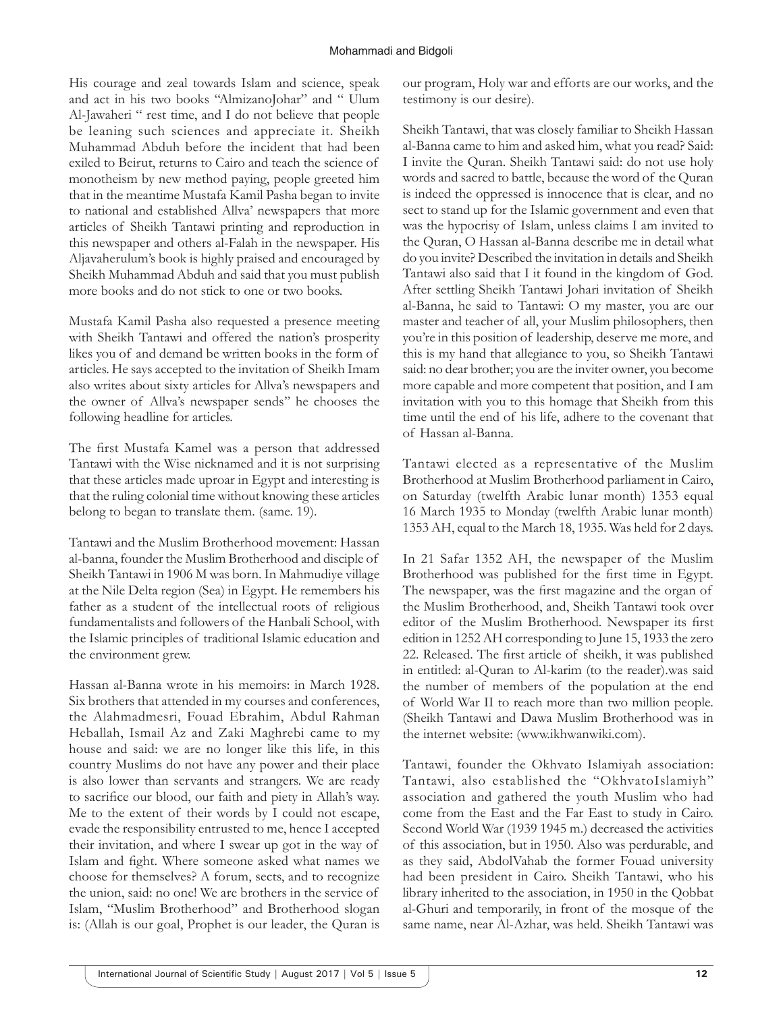His courage and zeal towards Islam and science, speak and act in his two books "AlmizanoJohar" and " Ulum Al-Jawaheri " rest time, and I do not believe that people be leaning such sciences and appreciate it. Sheikh Muhammad Abduh before the incident that had been exiled to Beirut, returns to Cairo and teach the science of monotheism by new method paying, people greeted him that in the meantime Mustafa Kamil Pasha began to invite to national and established Allva' newspapers that more articles of Sheikh Tantawi printing and reproduction in this newspaper and others al-Falah in the newspaper. His Aljavaherulum's book is highly praised and encouraged by Sheikh Muhammad Abduh and said that you must publish more books and do not stick to one or two books.

Mustafa Kamil Pasha also requested a presence meeting with Sheikh Tantawi and offered the nation's prosperity likes you of and demand be written books in the form of articles. He says accepted to the invitation of Sheikh Imam also writes about sixty articles for Allva's newspapers and the owner of Allva's newspaper sends'' he chooses the following headline for articles.

The first Mustafa Kamel was a person that addressed Tantawi with the Wise nicknamed and it is not surprising that these articles made uproar in Egypt and interesting is that the ruling colonial time without knowing these articles belong to began to translate them. (same. 19).

Tantawi and the Muslim Brotherhood movement: Hassan al-banna, founder the Muslim Brotherhood and disciple of Sheikh Tantawi in 1906 M was born. In Mahmudiye village at the Nile Delta region (Sea) in Egypt. He remembers his father as a student of the intellectual roots of religious fundamentalists and followers of the Hanbali School, with the Islamic principles of traditional Islamic education and the environment grew.

Hassan al-Banna wrote in his memoirs: in March 1928. Six brothers that attended in my courses and conferences, the Alahmadmesri, Fouad Ebrahim, Abdul Rahman Heballah, Ismail Az and Zaki Maghrebi came to my house and said: we are no longer like this life, in this country Muslims do not have any power and their place is also lower than servants and strangers. We are ready to sacrifice our blood, our faith and piety in Allah's way. Me to the extent of their words by I could not escape, evade the responsibility entrusted to me, hence I accepted their invitation, and where I swear up got in the way of Islam and fight. Where someone asked what names we choose for themselves? A forum, sects, and to recognize the union, said: no one! We are brothers in the service of Islam, "Muslim Brotherhood" and Brotherhood slogan is: (Allah is our goal, Prophet is our leader, the Quran is our program, Holy war and efforts are our works, and the testimony is our desire).

Sheikh Tantawi, that was closely familiar to Sheikh Hassan al-Banna came to him and asked him, what you read? Said: I invite the Quran. Sheikh Tantawi said: do not use holy words and sacred to battle, because the word of the Quran is indeed the oppressed is innocence that is clear, and no sect to stand up for the Islamic government and even that was the hypocrisy of Islam, unless claims I am invited to the Quran, O Hassan al-Banna describe me in detail what do you invite? Described the invitation in details and Sheikh Tantawi also said that I it found in the kingdom of God. After settling Sheikh Tantawi Johari invitation of Sheikh al-Banna, he said to Tantawi: O my master, you are our master and teacher of all, your Muslim philosophers, then you're in this position of leadership, deserve me more, and this is my hand that allegiance to you, so Sheikh Tantawi said: no dear brother; you are the inviter owner, you become more capable and more competent that position, and I am invitation with you to this homage that Sheikh from this time until the end of his life, adhere to the covenant that of Hassan al-Banna.

Tantawi elected as a representative of the Muslim Brotherhood at Muslim Brotherhood parliament in Cairo, on Saturday (twelfth Arabic lunar month) 1353 equal 16 March 1935 to Monday (twelfth Arabic lunar month) 1353 AH, equal to the March 18, 1935. Was held for 2 days.

In 21 Safar 1352 AH, the newspaper of the Muslim Brotherhood was published for the first time in Egypt. The newspaper, was the first magazine and the organ of the Muslim Brotherhood, and, Sheikh Tantawi took over editor of the Muslim Brotherhood. Newspaper its first edition in 1252 AH corresponding to June 15, 1933 the zero 22. Released. The first article of sheikh, it was published in entitled: al-Quran to Al-karim (to the reader).was said the number of members of the population at the end of World War II to reach more than two million people. (Sheikh Tantawi and Dawa Muslim Brotherhood was in the internet website: (www.ikhwanwiki.com).

Tantawi, founder the Okhvato Islamiyah association: Tantawi, also established the "OkhvatoIslamiyh" association and gathered the youth Muslim who had come from the East and the Far East to study in Cairo. Second World War (1939 1945 m.) decreased the activities of this association, but in 1950. Also was perdurable, and as they said, AbdolVahab the former Fouad university had been president in Cairo. Sheikh Tantawi, who his library inherited to the association, in 1950 in the Qobbat al-Ghuri and temporarily, in front of the mosque of the same name, near Al-Azhar, was held. Sheikh Tantawi was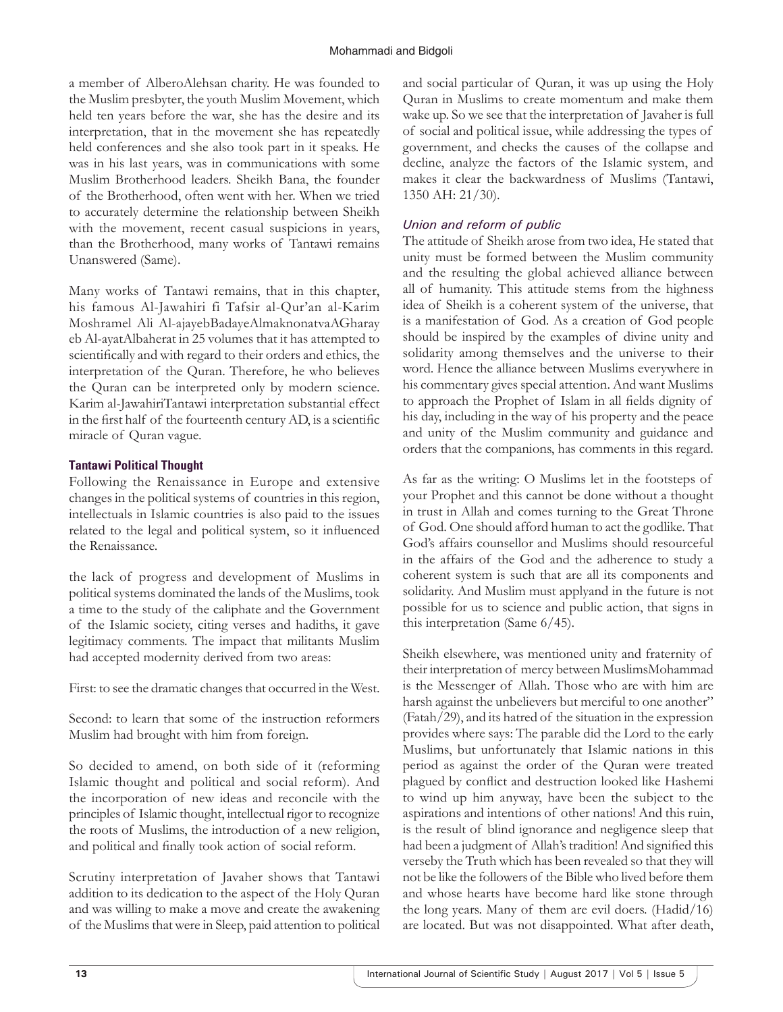a member of AlberoAlehsan charity. He was founded to the Muslim presbyter, the youth Muslim Movement, which held ten years before the war, she has the desire and its interpretation, that in the movement she has repeatedly held conferences and she also took part in it speaks. He was in his last years, was in communications with some Muslim Brotherhood leaders. Sheikh Bana, the founder of the Brotherhood, often went with her. When we tried to accurately determine the relationship between Sheikh with the movement, recent casual suspicions in years, than the Brotherhood, many works of Tantawi remains Unanswered (Same).

Many works of Tantawi remains, that in this chapter, his famous Al-Jawahiri fi Tafsir al-Qur'an al-Karim Moshramel Ali Al-ajayebBadayeAlmaknonatvaAGharay eb Al-ayatAlbaherat in 25 volumes that it has attempted to scientifically and with regard to their orders and ethics, the interpretation of the Quran. Therefore, he who believes the Quran can be interpreted only by modern science. Karim al-JawahiriTantawi interpretation substantial effect in the first half of the fourteenth century AD, is a scientific miracle of Quran vague.

## **Tantawi Political Thought**

Following the Renaissance in Europe and extensive changes in the political systems of countries in this region, intellectuals in Islamic countries is also paid to the issues related to the legal and political system, so it influenced the Renaissance.

the lack of progress and development of Muslims in political systems dominated the lands of the Muslims, took a time to the study of the caliphate and the Government of the Islamic society, citing verses and hadiths, it gave legitimacy comments. The impact that militants Muslim had accepted modernity derived from two areas:

First: to see the dramatic changes that occurred in the West.

Second: to learn that some of the instruction reformers Muslim had brought with him from foreign.

So decided to amend, on both side of it (reforming Islamic thought and political and social reform). And the incorporation of new ideas and reconcile with the principles of Islamic thought, intellectual rigor to recognize the roots of Muslims, the introduction of a new religion, and political and finally took action of social reform.

Scrutiny interpretation of Javaher shows that Tantawi addition to its dedication to the aspect of the Holy Quran and was willing to make a move and create the awakening of the Muslims that were in Sleep, paid attention to political

and social particular of Quran, it was up using the Holy Quran in Muslims to create momentum and make them wake up. So we see that the interpretation of Javaher is full of social and political issue, while addressing the types of government, and checks the causes of the collapse and decline, analyze the factors of the Islamic system, and makes it clear the backwardness of Muslims (Tantawi, 1350 AH: 21/30).

## *Union and reform of public*

The attitude of Sheikh arose from two idea, He stated that unity must be formed between the Muslim community and the resulting the global achieved alliance between all of humanity. This attitude stems from the highness idea of Sheikh is a coherent system of the universe, that is a manifestation of God. As a creation of God people should be inspired by the examples of divine unity and solidarity among themselves and the universe to their word. Hence the alliance between Muslims everywhere in his commentary gives special attention. And want Muslims to approach the Prophet of Islam in all fields dignity of his day, including in the way of his property and the peace and unity of the Muslim community and guidance and orders that the companions, has comments in this regard.

As far as the writing: O Muslims let in the footsteps of your Prophet and this cannot be done without a thought in trust in Allah and comes turning to the Great Throne of God. One should afford human to act the godlike. That God's affairs counsellor and Muslims should resourceful in the affairs of the God and the adherence to study a coherent system is such that are all its components and solidarity. And Muslim must applyand in the future is not possible for us to science and public action, that signs in this interpretation (Same 6/45).

Sheikh elsewhere, was mentioned unity and fraternity of their interpretation of mercy between MuslimsMohammad is the Messenger of Allah. Those who are with him are harsh against the unbelievers but merciful to one another" (Fatah/29), and its hatred of the situation in the expression provides where says: The parable did the Lord to the early Muslims, but unfortunately that Islamic nations in this period as against the order of the Quran were treated plagued by conflict and destruction looked like Hashemi to wind up him anyway, have been the subject to the aspirations and intentions of other nations! And this ruin, is the result of blind ignorance and negligence sleep that had been a judgment of Allah's tradition! And signified this verseby the Truth which has been revealed so that they will not be like the followers of the Bible who lived before them and whose hearts have become hard like stone through the long years. Many of them are evil doers. (Hadid/16) are located. But was not disappointed. What after death,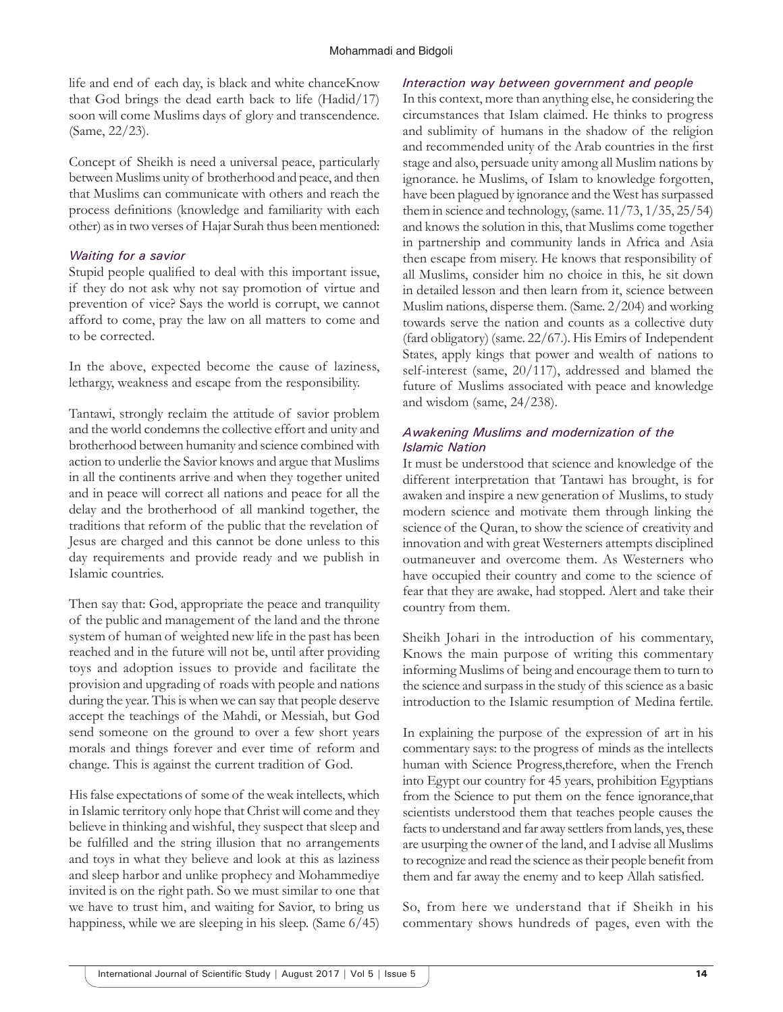life and end of each day, is black and white chanceKnow that God brings the dead earth back to life (Hadid/17) soon will come Muslims days of glory and transcendence. (Same, 22/23).

Concept of Sheikh is need a universal peace, particularly between Muslims unity of brotherhood and peace, and then that Muslims can communicate with others and reach the process definitions (knowledge and familiarity with each other) as in two verses of Hajar Surah thus been mentioned:

#### *Waiting for a savior*

Stupid people qualified to deal with this important issue, if they do not ask why not say promotion of virtue and prevention of vice? Says the world is corrupt, we cannot afford to come, pray the law on all matters to come and to be corrected.

In the above, expected become the cause of laziness, lethargy, weakness and escape from the responsibility.

Tantawi, strongly reclaim the attitude of savior problem and the world condemns the collective effort and unity and brotherhood between humanity and science combined with action to underlie the Savior knows and argue that Muslims in all the continents arrive and when they together united and in peace will correct all nations and peace for all the delay and the brotherhood of all mankind together, the traditions that reform of the public that the revelation of Jesus are charged and this cannot be done unless to this day requirements and provide ready and we publish in Islamic countries.

Then say that: God, appropriate the peace and tranquility of the public and management of the land and the throne system of human of weighted new life in the past has been reached and in the future will not be, until after providing toys and adoption issues to provide and facilitate the provision and upgrading of roads with people and nations during the year. This is when we can say that people deserve accept the teachings of the Mahdi, or Messiah, but God send someone on the ground to over a few short years morals and things forever and ever time of reform and change. This is against the current tradition of God.

His false expectations of some of the weak intellects, which in Islamic territory only hope that Christ will come and they believe in thinking and wishful, they suspect that sleep and be fulfilled and the string illusion that no arrangements and toys in what they believe and look at this as laziness and sleep harbor and unlike prophecy and Mohammediye invited is on the right path. So we must similar to one that we have to trust him, and waiting for Savior, to bring us happiness, while we are sleeping in his sleep. (Same 6/45)

#### *Interaction way between government and people*

In this context, more than anything else, he considering the circumstances that Islam claimed. He thinks to progress and sublimity of humans in the shadow of the religion and recommended unity of the Arab countries in the first stage and also, persuade unity among all Muslim nations by ignorance. he Muslims, of Islam to knowledge forgotten, have been plagued by ignorance and the West has surpassed them in science and technology, (same. 11/73, 1/35, 25/54) and knows the solution in this, that Muslims come together in partnership and community lands in Africa and Asia then escape from misery. He knows that responsibility of all Muslims, consider him no choice in this, he sit down in detailed lesson and then learn from it, science between Muslim nations, disperse them. (Same. 2/204) and working towards serve the nation and counts as a collective duty (fard obligatory) (same. 22/67.). His Emirs of Independent States, apply kings that power and wealth of nations to self-interest (same, 20/117), addressed and blamed the future of Muslims associated with peace and knowledge and wisdom (same, 24/238).

#### *Awakening Muslims and modernization of the Islamic Nation*

It must be understood that science and knowledge of the different interpretation that Tantawi has brought, is for awaken and inspire a new generation of Muslims, to study modern science and motivate them through linking the science of the Quran, to show the science of creativity and innovation and with great Westerners attempts disciplined outmaneuver and overcome them. As Westerners who have occupied their country and come to the science of fear that they are awake, had stopped. Alert and take their country from them.

Sheikh Johari in the introduction of his commentary, Knows the main purpose of writing this commentary informing Muslims of being and encourage them to turn to the science and surpass in the study of this science as a basic introduction to the Islamic resumption of Medina fertile.

In explaining the purpose of the expression of art in his commentary says: to the progress of minds as the intellects human with Science Progress,therefore, when the French into Egypt our country for 45 years, prohibition Egyptians from the Science to put them on the fence ignorance,that scientists understood them that teaches people causes the facts to understand and far away settlers from lands, yes, these are usurping the owner of the land, and I advise all Muslims to recognize and read the science as their people benefit from them and far away the enemy and to keep Allah satisfied.

So, from here we understand that if Sheikh in his commentary shows hundreds of pages, even with the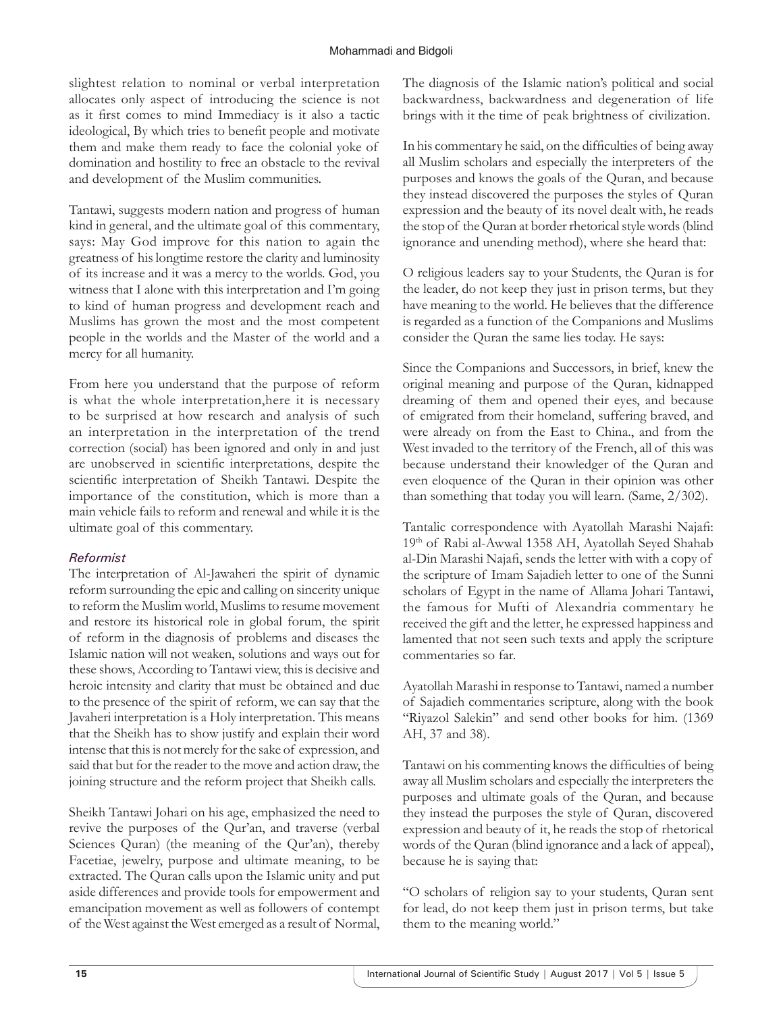slightest relation to nominal or verbal interpretation allocates only aspect of introducing the science is not as it first comes to mind Immediacy is it also a tactic ideological, By which tries to benefit people and motivate them and make them ready to face the colonial yoke of domination and hostility to free an obstacle to the revival and development of the Muslim communities.

Tantawi, suggests modern nation and progress of human kind in general, and the ultimate goal of this commentary, says: May God improve for this nation to again the greatness of his longtime restore the clarity and luminosity of its increase and it was a mercy to the worlds. God, you witness that I alone with this interpretation and I'm going to kind of human progress and development reach and Muslims has grown the most and the most competent people in the worlds and the Master of the world and a mercy for all humanity.

From here you understand that the purpose of reform is what the whole interpretation,here it is necessary to be surprised at how research and analysis of such an interpretation in the interpretation of the trend correction (social) has been ignored and only in and just are unobserved in scientific interpretations, despite the scientific interpretation of Sheikh Tantawi. Despite the importance of the constitution, which is more than a main vehicle fails to reform and renewal and while it is the ultimate goal of this commentary.

## *Reformist*

The interpretation of Al-Jawaheri the spirit of dynamic reform surrounding the epic and calling on sincerity unique to reform the Muslim world, Muslims to resume movement and restore its historical role in global forum, the spirit of reform in the diagnosis of problems and diseases the Islamic nation will not weaken, solutions and ways out for these shows, According to Tantawi view, this is decisive and heroic intensity and clarity that must be obtained and due to the presence of the spirit of reform, we can say that the Javaheri interpretation is a Holy interpretation. This means that the Sheikh has to show justify and explain their word intense that this is not merely for the sake of expression, and said that but for the reader to the move and action draw, the joining structure and the reform project that Sheikh calls.

Sheikh Tantawi Johari on his age, emphasized the need to revive the purposes of the Qur'an, and traverse (verbal Sciences Quran) (the meaning of the Qur'an), thereby Facetiae, jewelry, purpose and ultimate meaning, to be extracted. The Quran calls upon the Islamic unity and put aside differences and provide tools for empowerment and emancipation movement as well as followers of contempt of the West against the West emerged as a result of Normal,

The diagnosis of the Islamic nation's political and social backwardness, backwardness and degeneration of life brings with it the time of peak brightness of civilization.

In his commentary he said, on the difficulties of being away all Muslim scholars and especially the interpreters of the purposes and knows the goals of the Quran, and because they instead discovered the purposes the styles of Quran expression and the beauty of its novel dealt with, he reads the stop of the Quran at border rhetorical style words (blind ignorance and unending method), where she heard that:

O religious leaders say to your Students, the Quran is for the leader, do not keep they just in prison terms, but they have meaning to the world. He believes that the difference is regarded as a function of the Companions and Muslims consider the Quran the same lies today. He says:

Since the Companions and Successors, in brief, knew the original meaning and purpose of the Quran, kidnapped dreaming of them and opened their eyes, and because of emigrated from their homeland, suffering braved, and were already on from the East to China., and from the West invaded to the territory of the French, all of this was because understand their knowledger of the Quran and even eloquence of the Quran in their opinion was other than something that today you will learn. (Same, 2/302).

Tantalic correspondence with Ayatollah Marashi Najafi: 19th of Rabi al-Awwal 1358 AH, Ayatollah Seyed Shahab al-Din Marashi Najafi, sends the letter with with a copy of the scripture of Imam Sajadieh letter to one of the Sunni scholars of Egypt in the name of Allama Johari Tantawi, the famous for Mufti of Alexandria commentary he received the gift and the letter, he expressed happiness and lamented that not seen such texts and apply the scripture commentaries so far.

Ayatollah Marashi in response to Tantawi, named a number of Sajadieh commentaries scripture, along with the book "Riyazol Salekin" and send other books for him. (1369 AH, 37 and 38).

Tantawi on his commenting knows the difficulties of being away all Muslim scholars and especially the interpreters the purposes and ultimate goals of the Quran, and because they instead the purposes the style of Quran, discovered expression and beauty of it, he reads the stop of rhetorical words of the Quran (blind ignorance and a lack of appeal), because he is saying that:

"O scholars of religion say to your students, Quran sent for lead, do not keep them just in prison terms, but take them to the meaning world."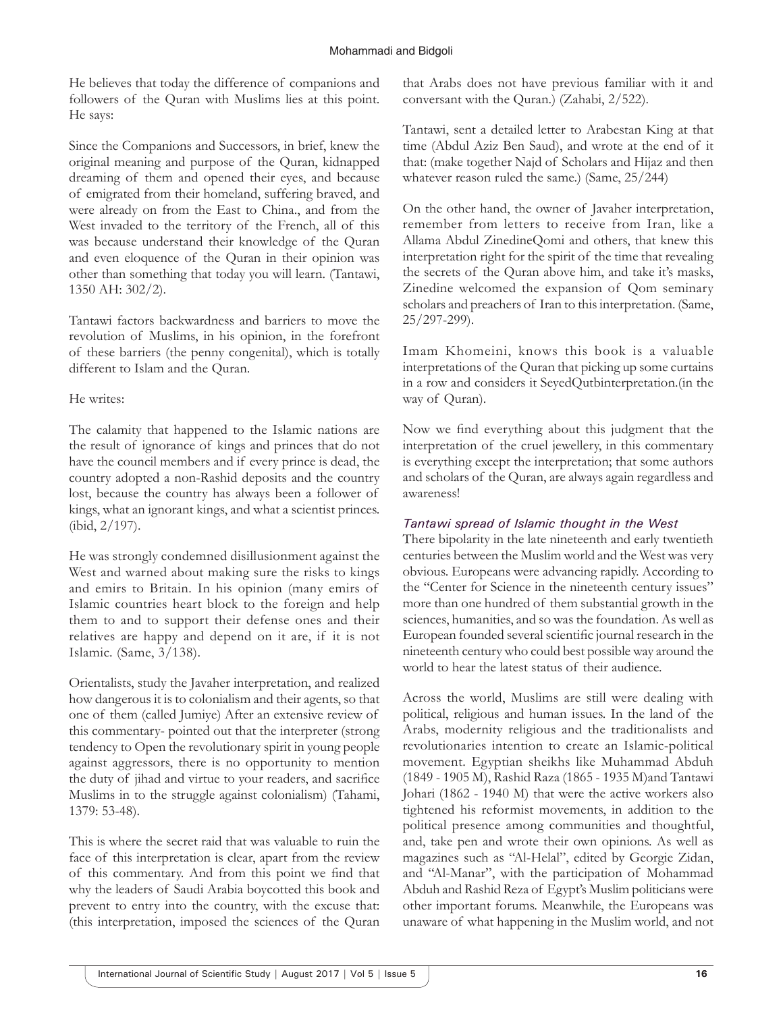He believes that today the difference of companions and followers of the Quran with Muslims lies at this point. He says:

Since the Companions and Successors, in brief, knew the original meaning and purpose of the Quran, kidnapped dreaming of them and opened their eyes, and because of emigrated from their homeland, suffering braved, and were already on from the East to China., and from the West invaded to the territory of the French, all of this was because understand their knowledge of the Quran and even eloquence of the Quran in their opinion was other than something that today you will learn. (Tantawi, 1350 AH: 302/2).

Tantawi factors backwardness and barriers to move the revolution of Muslims, in his opinion, in the forefront of these barriers (the penny congenital), which is totally different to Islam and the Quran.

#### He writes:

The calamity that happened to the Islamic nations are the result of ignorance of kings and princes that do not have the council members and if every prince is dead, the country adopted a non-Rashid deposits and the country lost, because the country has always been a follower of kings, what an ignorant kings, and what a scientist princes. (ibid, 2/197).

He was strongly condemned disillusionment against the West and warned about making sure the risks to kings and emirs to Britain. In his opinion (many emirs of Islamic countries heart block to the foreign and help them to and to support their defense ones and their relatives are happy and depend on it are, if it is not Islamic. (Same, 3/138).

Orientalists, study the Javaher interpretation, and realized how dangerous it is to colonialism and their agents, so that one of them (called Jumiye) After an extensive review of this commentary- pointed out that the interpreter (strong tendency to Open the revolutionary spirit in young people against aggressors, there is no opportunity to mention the duty of jihad and virtue to your readers, and sacrifice Muslims in to the struggle against colonialism) (Tahami, 1379: 53-48).

This is where the secret raid that was valuable to ruin the face of this interpretation is clear, apart from the review of this commentary. And from this point we find that why the leaders of Saudi Arabia boycotted this book and prevent to entry into the country, with the excuse that: (this interpretation, imposed the sciences of the Quran

that Arabs does not have previous familiar with it and conversant with the Quran.) (Zahabi, 2/522).

Tantawi, sent a detailed letter to Arabestan King at that time (Abdul Aziz Ben Saud), and wrote at the end of it that: (make together Najd of Scholars and Hijaz and then whatever reason ruled the same.) (Same, 25/244)

On the other hand, the owner of Javaher interpretation, remember from letters to receive from Iran, like a Allama Abdul ZinedineQomi and others, that knew this interpretation right for the spirit of the time that revealing the secrets of the Quran above him, and take it's masks, Zinedine welcomed the expansion of Qom seminary scholars and preachers of Iran to this interpretation. (Same, 25/297-299).

Imam Khomeini, knows this book is a valuable interpretations of the Quran that picking up some curtains in a row and considers it SeyedQutbinterpretation.(in the way of Quran).

Now we find everything about this judgment that the interpretation of the cruel jewellery, in this commentary is everything except the interpretation; that some authors and scholars of the Quran, are always again regardless and awareness!

## *Tantawi spread of Islamic thought in the West*

There bipolarity in the late nineteenth and early twentieth centuries between the Muslim world and the West was very obvious. Europeans were advancing rapidly. According to the "Center for Science in the nineteenth century issues" more than one hundred of them substantial growth in the sciences, humanities, and so was the foundation. As well as European founded several scientific journal research in the nineteenth century who could best possible way around the world to hear the latest status of their audience.

Across the world, Muslims are still were dealing with political, religious and human issues. In the land of the Arabs, modernity religious and the traditionalists and revolutionaries intention to create an Islamic-political movement. Egyptian sheikhs like Muhammad Abduh (1849 - 1905 M), Rashid Raza (1865 - 1935 M)and Tantawi Johari (1862 - 1940 M) that were the active workers also tightened his reformist movements, in addition to the political presence among communities and thoughtful, and, take pen and wrote their own opinions. As well as magazines such as "Al-Helal", edited by Georgie Zidan, and "Al-Manar", with the participation of Mohammad Abduh and Rashid Reza of Egypt's Muslim politicians were other important forums. Meanwhile, the Europeans was unaware of what happening in the Muslim world, and not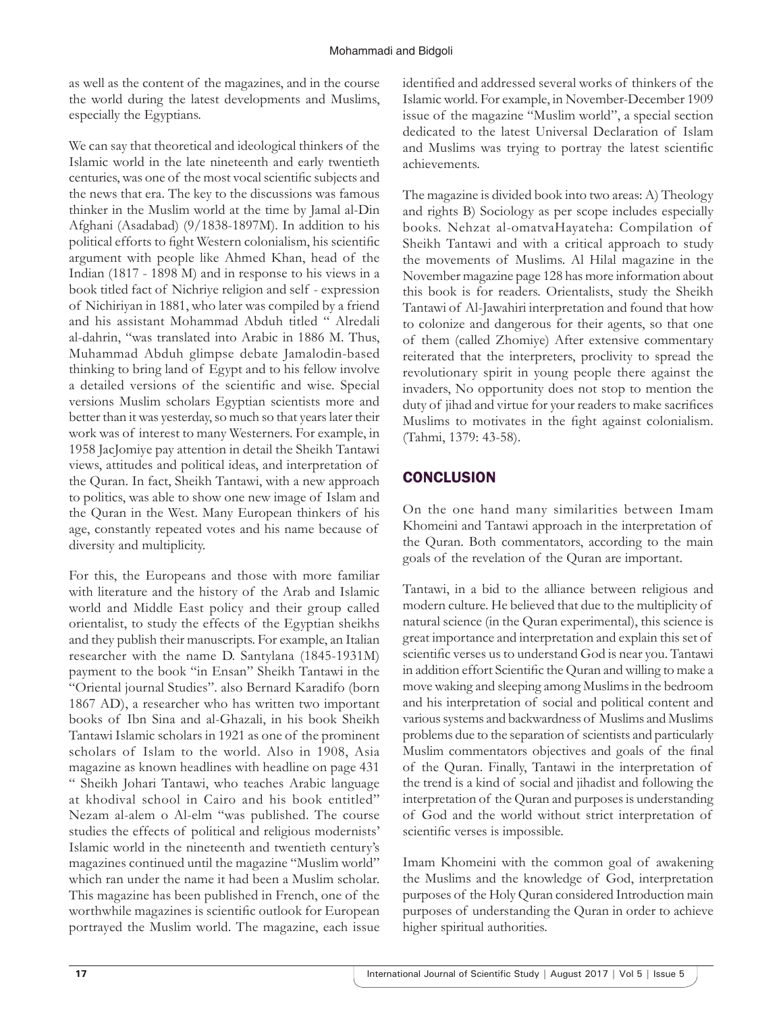as well as the content of the magazines, and in the course the world during the latest developments and Muslims, especially the Egyptians.

We can say that theoretical and ideological thinkers of the Islamic world in the late nineteenth and early twentieth centuries, was one of the most vocal scientific subjects and the news that era. The key to the discussions was famous thinker in the Muslim world at the time by Jamal al-Din Afghani (Asadabad) (9/1838-1897M). In addition to his political efforts to fight Western colonialism, his scientific argument with people like Ahmed Khan, head of the Indian (1817 - 1898 M) and in response to his views in a book titled fact of Nichriye religion and self - expression of Nichiriyan in 1881, who later was compiled by a friend and his assistant Mohammad Abduh titled " Alredali al-dahrin, "was translated into Arabic in 1886 M. Thus, Muhammad Abduh glimpse debate Jamalodin-based thinking to bring land of Egypt and to his fellow involve a detailed versions of the scientific and wise. Special versions Muslim scholars Egyptian scientists more and better than it was yesterday, so much so that years later their work was of interest to many Westerners. For example, in 1958 JacJomiye pay attention in detail the Sheikh Tantawi views, attitudes and political ideas, and interpretation of the Quran. In fact, Sheikh Tantawi, with a new approach to politics, was able to show one new image of Islam and the Quran in the West. Many European thinkers of his age, constantly repeated votes and his name because of diversity and multiplicity.

For this, the Europeans and those with more familiar with literature and the history of the Arab and Islamic world and Middle East policy and their group called orientalist, to study the effects of the Egyptian sheikhs and they publish their manuscripts. For example, an Italian researcher with the name D. Santylana (1845-1931M) payment to the book "in Ensan" Sheikh Tantawi in the "Oriental journal Studies". also Bernard Karadifo (born 1867 AD), a researcher who has written two important books of Ibn Sina and al-Ghazali, in his book Sheikh Tantawi Islamic scholars in 1921 as one of the prominent scholars of Islam to the world. Also in 1908, Asia magazine as known headlines with headline on page 431 " Sheikh Johari Tantawi, who teaches Arabic language at khodival school in Cairo and his book entitled" Nezam al-alem o Al-elm "was published. The course studies the effects of political and religious modernists' Islamic world in the nineteenth and twentieth century's magazines continued until the magazine "Muslim world" which ran under the name it had been a Muslim scholar. This magazine has been published in French, one of the worthwhile magazines is scientific outlook for European portrayed the Muslim world. The magazine, each issue identified and addressed several works of thinkers of the Islamic world. For example, in November-December 1909 issue of the magazine "Muslim world", a special section dedicated to the latest Universal Declaration of Islam and Muslims was trying to portray the latest scientific achievements.

The magazine is divided book into two areas: A) Theology and rights B) Sociology as per scope includes especially books. Nehzat al-omatvaHayateha: Compilation of Sheikh Tantawi and with a critical approach to study the movements of Muslims. Al Hilal magazine in the November magazine page 128 has more information about this book is for readers. Orientalists, study the Sheikh Tantawi of Al-Jawahiri interpretation and found that how to colonize and dangerous for their agents, so that one of them (called Zhomiye) After extensive commentary reiterated that the interpreters, proclivity to spread the revolutionary spirit in young people there against the invaders, No opportunity does not stop to mention the duty of jihad and virtue for your readers to make sacrifices Muslims to motivates in the fight against colonialism. (Tahmi, 1379: 43-58).

## **CONCLUSION**

On the one hand many similarities between Imam Khomeini and Tantawi approach in the interpretation of the Quran. Both commentators, according to the main goals of the revelation of the Quran are important.

Tantawi, in a bid to the alliance between religious and modern culture. He believed that due to the multiplicity of natural science (in the Quran experimental), this science is great importance and interpretation and explain this set of scientific verses us to understand God is near you. Tantawi in addition effort Scientific the Quran and willing to make a move waking and sleeping among Muslims in the bedroom and his interpretation of social and political content and various systems and backwardness of Muslims and Muslims problems due to the separation of scientists and particularly Muslim commentators objectives and goals of the final of the Quran. Finally, Tantawi in the interpretation of the trend is a kind of social and jihadist and following the interpretation of the Quran and purposes is understanding of God and the world without strict interpretation of scientific verses is impossible.

Imam Khomeini with the common goal of awakening the Muslims and the knowledge of God, interpretation purposes of the Holy Quran considered Introduction main purposes of understanding the Quran in order to achieve higher spiritual authorities.